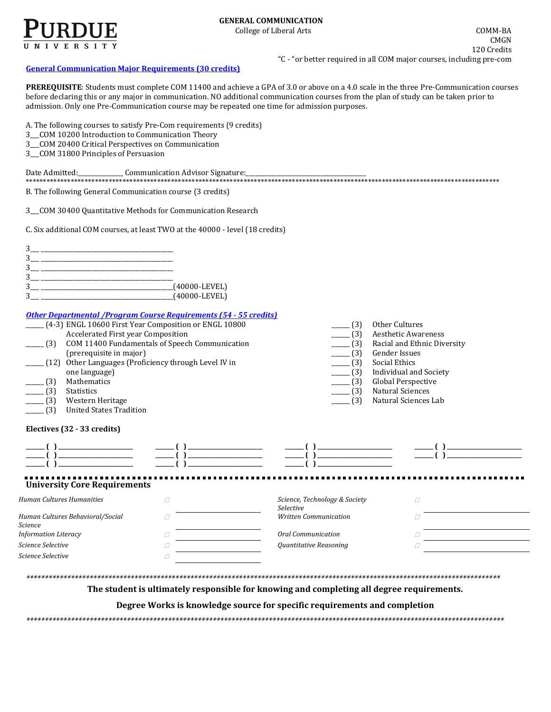

## **[General Communication](http://www.cla.purdue.edu/academics/programs/pos/CMGN201210.pdf) Major Requirements (30 credits)**

**PREREQUISITE**: Students must complete COM 11400 and achieve a GPA of 3.0 or above on a 4.0 scale in the three Pre-Communication courses before declaring this or any major in communication. NO additional communication courses from the plan of study can be taken prior to admission. Only one Pre-Communication course may be repeated one time for admission purposes.

A. The following courses to satisfy Pre-Com requirements (9 credits)

- 3\_\_\_COM 10200 Introduction to Communication Theory
- 3\_\_\_COM 20400 Critical Perspectives on Communication
- 3\_\_\_COM 31800 Principles of Persuasion

| Date Admitted: | Communication Advisor Signature: |
|----------------|----------------------------------|
|                |                                  |

B. The following General Communication course (3 credits)

3\_\_\_COM 30400 Quantitative Methods for Communication Research

C. Six additional COM courses, at least TWO at the 40000 - level (18 credits)

|  | $(40000$ -LEVEL) |
|--|------------------|
|  | $(40000$ -LEVEL) |
|  |                  |

## *[Other Departmental /Program Course Requirements \(54](http://www.cla.purdue.edu/academics/programs/pos/core201210v3.pdf) - 55 credits)*

|         | (4-3) ENGL 10600 First Year Composition or ENGL 10800 | (3)                      | Other Cultures              |
|---------|-------------------------------------------------------|--------------------------|-----------------------------|
|         | Accelerated First year Composition                    | (3)                      | <b>Aesthetic Awareness</b>  |
| . (3)   | COM 11400 Fundamentals of Speech Communication        | (3)                      | Racial and Ethnic Diversity |
|         | (prerequisite in major)                               | $- (3)$                  | Gender Issues               |
|         | (12) Other Languages (Proficiency through Level IV in | $-$ (3)                  | Social Ethics               |
|         | one language)                                         | $-$ (3)                  | Individual and Society      |
| (3)     | Mathematics                                           | $\boxed{\phantom{0}}(3)$ | Global Perspective          |
| (3)     | <b>Statistics</b>                                     | (3)                      | Natural Sciences            |
| $-$ (3) | Western Heritage                                      |                          | Natural Sciences Lab        |
|         |                                                       |                          |                             |

\_\_\_\_\_\_ (3) United States Tradition

#### **Electives (32 - 33 credits)**

| <b>University Core Requirements</b>         |                                            |  |
|---------------------------------------------|--------------------------------------------|--|
| Human Cultures Humanities                   | Science, Technology & Society<br>Selective |  |
| Human Cultures Behavioral/Social<br>Science | <b>Written Communication</b>               |  |
| <b>Information Literacy</b>                 | Oral Communication                         |  |
| Science Selective                           | Quantitative Reasoning                     |  |
| Science Selective                           |                                            |  |
|                                             |                                            |  |

**The student is ultimately responsible for knowing and completing all degree requirements.** 

**Degree Works is knowledge source for specific requirements and completion**

*\*\*\*\*\*\*\*\*\*\*\*\*\*\*\*\*\*\*\*\*\*\*\*\*\*\*\*\*\*\*\*\*\*\*\*\*\*\*\*\*\*\*\*\*\*\*\*\*\*\*\*\*\*\*\*\*\*\*\*\*\*\*\*\*\*\*\*\*\*\*\*\*\*\*\*\*\*\*\*\*\*\*\*\*\*\*\*\*\*\*\*\*\*\*\*\*\*\*\*\*\*\*\*\*\*\*\*\*\*\*\*\*\*\*\*\*\*\*\*\*\*\*\*\*\*\*\*\**